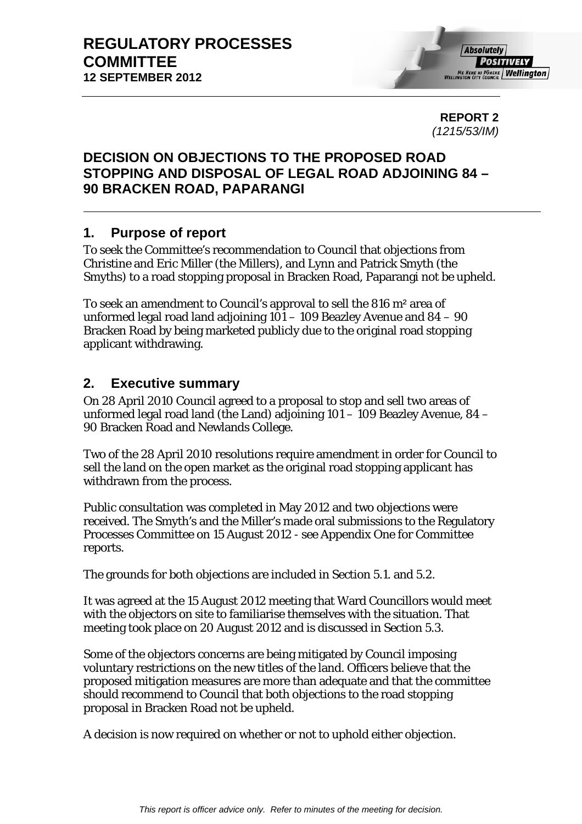**REPORT 2**  *(1215/53/IM)* 

# **DECISION ON OBJECTIONS TO THE PROPOSED ROAD STOPPING AND DISPOSAL OF LEGAL ROAD ADJOINING 84 – 90 BRACKEN ROAD, PAPARANGI**

# **1. Purpose of report**

To seek the Committee's recommendation to Council that objections from Christine and Eric Miller (the Millers), and Lynn and Patrick Smyth (the Smyths) to a road stopping proposal in Bracken Road, Paparangi not be upheld.

To seek an amendment to Council's approval to sell the 816 m² area of unformed legal road land adjoining 101 – 109 Beazley Avenue and 84 – 90 Bracken Road by being marketed publicly due to the original road stopping applicant withdrawing.

# **2. Executive summary**

On 28 April 2010 Council agreed to a proposal to stop and sell two areas of unformed legal road land (the Land) adjoining 101 – 109 Beazley Avenue, 84 – 90 Bracken Road and Newlands College.

Two of the 28 April 2010 resolutions require amendment in order for Council to sell the land on the open market as the original road stopping applicant has withdrawn from the process.

Public consultation was completed in May 2012 and two objections were received. The Smyth's and the Miller's made oral submissions to the Regulatory Processes Committee on 15 August 2012 - see Appendix One for Committee reports.

The grounds for both objections are included in Section 5.1. and 5.2.

It was agreed at the 15 August 2012 meeting that Ward Councillors would meet with the objectors on site to familiarise themselves with the situation. That meeting took place on 20 August 2012 and is discussed in Section 5.3.

Some of the objectors concerns are being mitigated by Council imposing voluntary restrictions on the new titles of the land. Officers believe that the proposed mitigation measures are more than adequate and that the committee should recommend to Council that both objections to the road stopping proposal in Bracken Road not be upheld.

A decision is now required on whether or not to uphold either objection.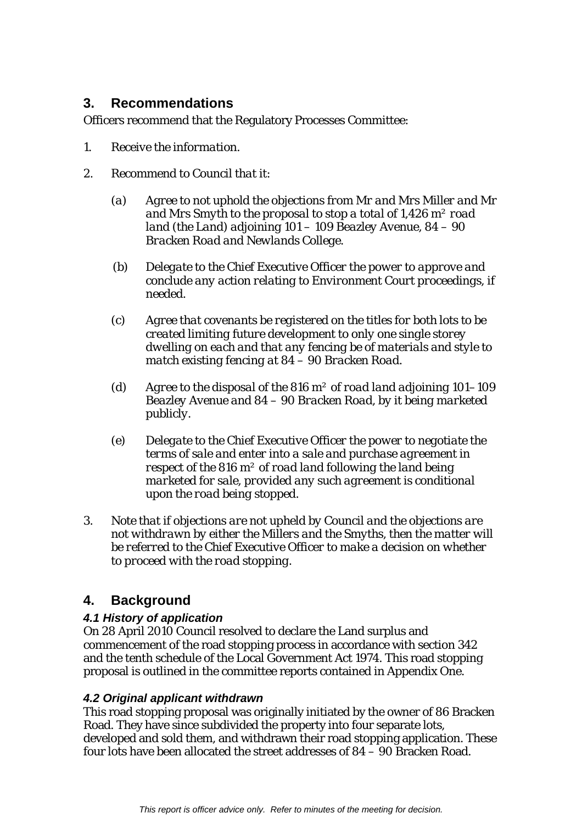# **3. Recommendations**

Officers recommend that the Regulatory Processes Committee:

- *1. Receive the information.*
- *2. Recommend to Council that it:* 
	- *(a) Agree to not uphold the objections from Mr and Mrs Miller and Mr and Mrs Smyth to the proposal to stop a total of 1,426 m² road land (the Land) adjoining 101 – 109 Beazley Avenue, 84 – 90 Bracken Road and Newlands College.*
	- *(b) Delegate to the Chief Executive Officer the power to approve and conclude any action relating to Environment Court proceedings, if needed.*
	- *(c) Agree that covenants be registered on the titles for both lots to be created limiting future development to only one single storey dwelling on each and that any fencing be of materials and style to match existing fencing at 84 – 90 Bracken Road.*
	- *(d) Agree to the disposal of the 816 m² of road land adjoining 101–109 Beazley Avenue and 84 – 90 Bracken Road, by it being marketed publicly.*
	- *(e) Delegate to the Chief Executive Officer the power to negotiate the terms of sale and enter into a sale and purchase agreement in respect of the 816 m² of road land following the land being marketed for sale, provided any such agreement is conditional upon the road being stopped.*
- *3. Note that if objections are not upheld by Council and the objections are not withdrawn by either the Millers and the Smyths, then the matter will be referred to the Chief Executive Officer to make a decision on whether to proceed with the road stopping.*

# **4. Background**

# *4.1 History of application*

On 28 April 2010 Council resolved to declare the Land surplus and commencement of the road stopping process in accordance with section 342 and the tenth schedule of the Local Government Act 1974. This road stopping proposal is outlined in the committee reports contained in Appendix One.

# *4.2 Original applicant withdrawn*

This road stopping proposal was originally initiated by the owner of 86 Bracken Road. They have since subdivided the property into four separate lots, developed and sold them, and withdrawn their road stopping application. These four lots have been allocated the street addresses of 84 – 90 Bracken Road.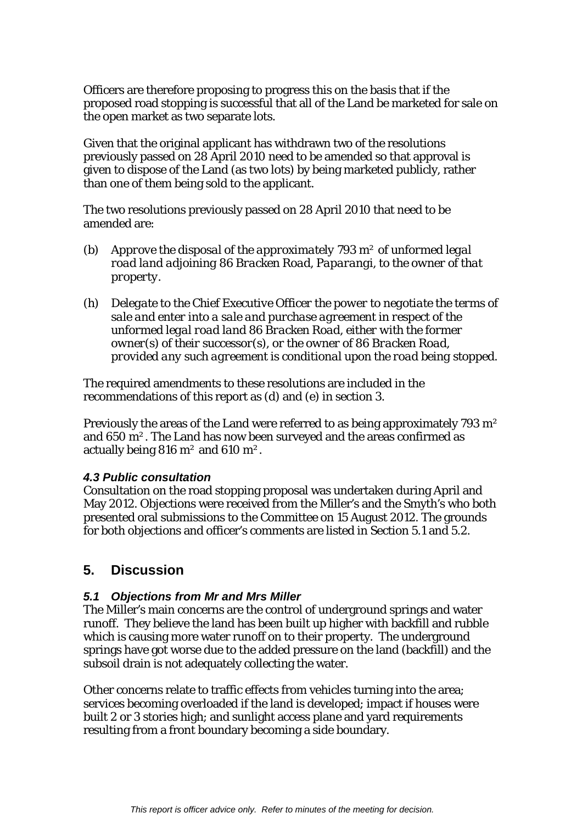Officers are therefore proposing to progress this on the basis that if the proposed road stopping is successful that all of the Land be marketed for sale on the open market as two separate lots.

Given that the original applicant has withdrawn two of the resolutions previously passed on 28 April 2010 need to be amended so that approval is given to dispose of the Land (as two lots) by being marketed publicly, rather than one of them being sold to the applicant.

The two resolutions previously passed on 28 April 2010 that need to be amended are:

- *(b) Approve the disposal of the approximately 793 m² of unformed legal road land adjoining 86 Bracken Road, Paparangi, to the owner of that property.*
- *(h) Delegate to the Chief Executive Officer the power to negotiate the terms of sale and enter into a sale and purchase agreement in respect of the unformed legal road land 86 Bracken Road, either with the former owner(s) of their successor(s), or the owner of 86 Bracken Road, provided any such agreement is conditional upon the road being stopped.*

The required amendments to these resolutions are included in the recommendations of this report as (d) and (e) in section 3.

Previously the areas of the Land were referred to as being approximately 793 m<sup>2</sup> and 650 m². The Land has now been surveyed and the areas confirmed as actually being 816 m<sup>2</sup> and 610 m<sup>2</sup>.

## *4.3 Public consultation*

Consultation on the road stopping proposal was undertaken during April and May 2012. Objections were received from the Miller's and the Smyth's who both presented oral submissions to the Committee on 15 August 2012. The grounds for both objections and officer's comments are listed in Section 5.1 and 5.2.

# **5. Discussion**

## *5.1 Objections from Mr and Mrs Miller*

The Miller's main concerns are the control of underground springs and water runoff. They believe the land has been built up higher with backfill and rubble which is causing more water runoff on to their property. The underground springs have got worse due to the added pressure on the land (backfill) and the subsoil drain is not adequately collecting the water.

Other concerns relate to traffic effects from vehicles turning into the area; services becoming overloaded if the land is developed; impact if houses were built 2 or 3 stories high; and sunlight access plane and yard requirements resulting from a front boundary becoming a side boundary.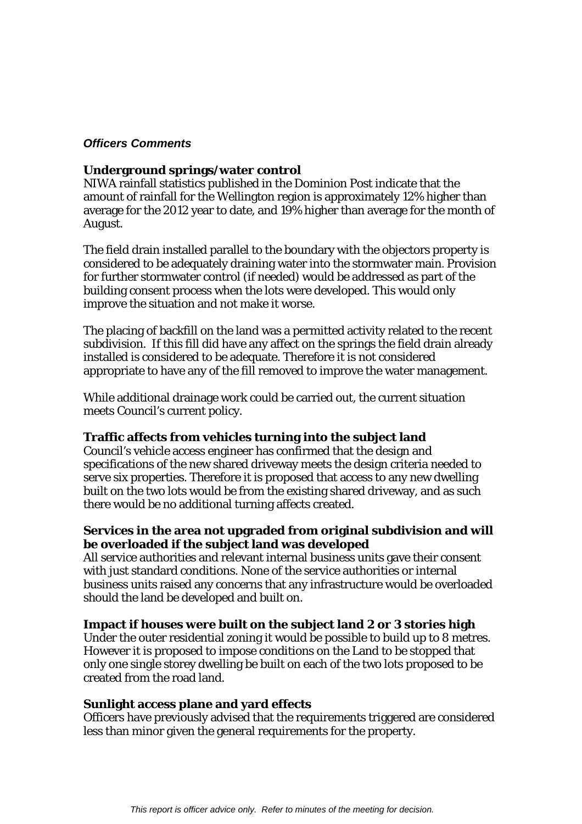## *Officers Comments*

#### **Underground springs/water control**

NIWA rainfall statistics published in the Dominion Post indicate that the amount of rainfall for the Wellington region is approximately 12% higher than average for the 2012 year to date, and 19% higher than average for the month of August.

The field drain installed parallel to the boundary with the objectors property is considered to be adequately draining water into the stormwater main. Provision for further stormwater control (if needed) would be addressed as part of the building consent process when the lots were developed. This would only improve the situation and not make it worse.

The placing of backfill on the land was a permitted activity related to the recent subdivision. If this fill did have any affect on the springs the field drain already installed is considered to be adequate. Therefore it is not considered appropriate to have any of the fill removed to improve the water management.

While additional drainage work could be carried out, the current situation meets Council's current policy.

## **Traffic affects from vehicles turning into the subject land**

Council's vehicle access engineer has confirmed that the design and specifications of the new shared driveway meets the design criteria needed to serve six properties. Therefore it is proposed that access to any new dwelling built on the two lots would be from the existing shared driveway, and as such there would be no additional turning affects created.

## **Services in the area not upgraded from original subdivision and will be overloaded if the subject land was developed**

All service authorities and relevant internal business units gave their consent with just standard conditions. None of the service authorities or internal business units raised any concerns that any infrastructure would be overloaded should the land be developed and built on.

#### **Impact if houses were built on the subject land 2 or 3 stories high**

Under the outer residential zoning it would be possible to build up to 8 metres. However it is proposed to impose conditions on the Land to be stopped that only one single storey dwelling be built on each of the two lots proposed to be created from the road land.

#### **Sunlight access plane and yard effects**

Officers have previously advised that the requirements triggered are considered less than minor given the general requirements for the property.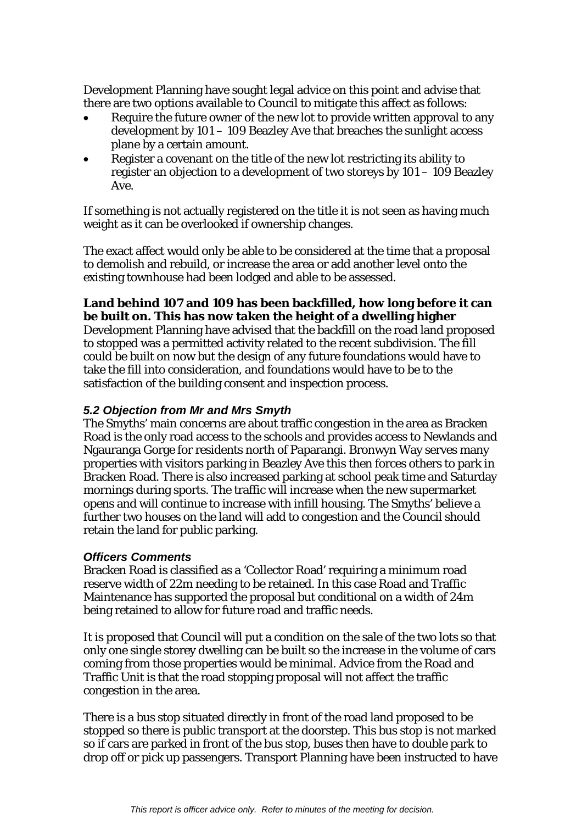Development Planning have sought legal advice on this point and advise that there are two options available to Council to mitigate this affect as follows:

- Require the future owner of the new lot to provide written approval to any development by 101 – 109 Beazley Ave that breaches the sunlight access plane by a certain amount.
- Register a covenant on the title of the new lot restricting its ability to register an objection to a development of two storeys by 101 – 109 Beazley Ave.

If something is not actually registered on the title it is not seen as having much weight as it can be overlooked if ownership changes.

The exact affect would only be able to be considered at the time that a proposal to demolish and rebuild, or increase the area or add another level onto the existing townhouse had been lodged and able to be assessed.

## **Land behind 107 and 109 has been backfilled, how long before it can be built on. This has now taken the height of a dwelling higher**

Development Planning have advised that the backfill on the road land proposed to stopped was a permitted activity related to the recent subdivision. The fill could be built on now but the design of any future foundations would have to take the fill into consideration, and foundations would have to be to the satisfaction of the building consent and inspection process.

## *5.2 Objection from Mr and Mrs Smyth*

The Smyths' main concerns are about traffic congestion in the area as Bracken Road is the only road access to the schools and provides access to Newlands and Ngauranga Gorge for residents north of Paparangi. Bronwyn Way serves many properties with visitors parking in Beazley Ave this then forces others to park in Bracken Road. There is also increased parking at school peak time and Saturday mornings during sports. The traffic will increase when the new supermarket opens and will continue to increase with infill housing. The Smyths' believe a further two houses on the land will add to congestion and the Council should retain the land for public parking.

## *Officers Comments*

Bracken Road is classified as a 'Collector Road' requiring a minimum road reserve width of 22m needing to be retained. In this case Road and Traffic Maintenance has supported the proposal but conditional on a width of 24m being retained to allow for future road and traffic needs.

It is proposed that Council will put a condition on the sale of the two lots so that only one single storey dwelling can be built so the increase in the volume of cars coming from those properties would be minimal. Advice from the Road and Traffic Unit is that the road stopping proposal will not affect the traffic congestion in the area.

There is a bus stop situated directly in front of the road land proposed to be stopped so there is public transport at the doorstep. This bus stop is not marked so if cars are parked in front of the bus stop, buses then have to double park to drop off or pick up passengers. Transport Planning have been instructed to have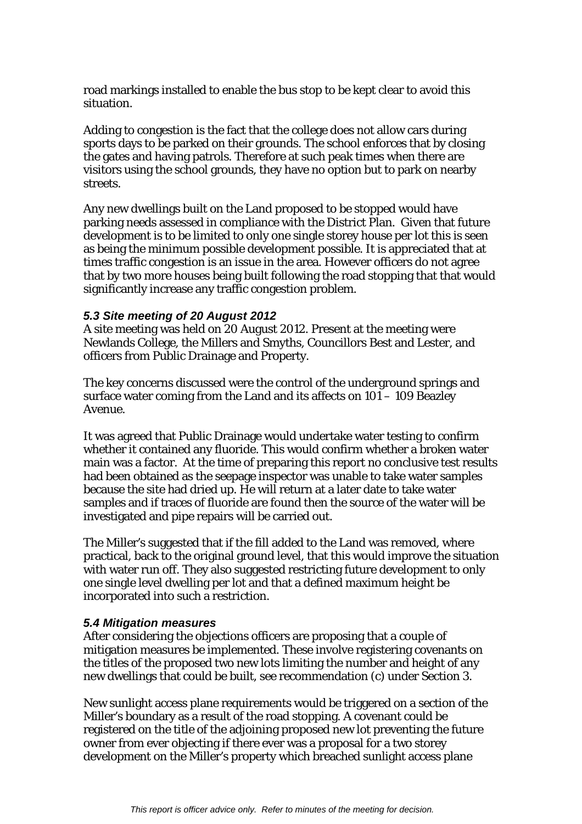road markings installed to enable the bus stop to be kept clear to avoid this situation.

Adding to congestion is the fact that the college does not allow cars during sports days to be parked on their grounds. The school enforces that by closing the gates and having patrols. Therefore at such peak times when there are visitors using the school grounds, they have no option but to park on nearby streets.

Any new dwellings built on the Land proposed to be stopped would have parking needs assessed in compliance with the District Plan. Given that future development is to be limited to only one single storey house per lot this is seen as being the minimum possible development possible. It is appreciated that at times traffic congestion is an issue in the area. However officers do not agree that by two more houses being built following the road stopping that that would significantly increase any traffic congestion problem.

#### *5.3 Site meeting of 20 August 2012*

A site meeting was held on 20 August 2012. Present at the meeting were Newlands College, the Millers and Smyths, Councillors Best and Lester, and officers from Public Drainage and Property.

The key concerns discussed were the control of the underground springs and surface water coming from the Land and its affects on 101 – 109 Beazley Avenue.

It was agreed that Public Drainage would undertake water testing to confirm whether it contained any fluoride. This would confirm whether a broken water main was a factor. At the time of preparing this report no conclusive test results had been obtained as the seepage inspector was unable to take water samples because the site had dried up. He will return at a later date to take water samples and if traces of fluoride are found then the source of the water will be investigated and pipe repairs will be carried out.

The Miller's suggested that if the fill added to the Land was removed, where practical, back to the original ground level, that this would improve the situation with water run off. They also suggested restricting future development to only one single level dwelling per lot and that a defined maximum height be incorporated into such a restriction.

#### *5.4 Mitigation measures*

After considering the objections officers are proposing that a couple of mitigation measures be implemented. These involve registering covenants on the titles of the proposed two new lots limiting the number and height of any new dwellings that could be built, see recommendation (c) under Section 3.

New sunlight access plane requirements would be triggered on a section of the Miller's boundary as a result of the road stopping. A covenant could be registered on the title of the adjoining proposed new lot preventing the future owner from ever objecting if there ever was a proposal for a two storey development on the Miller's property which breached sunlight access plane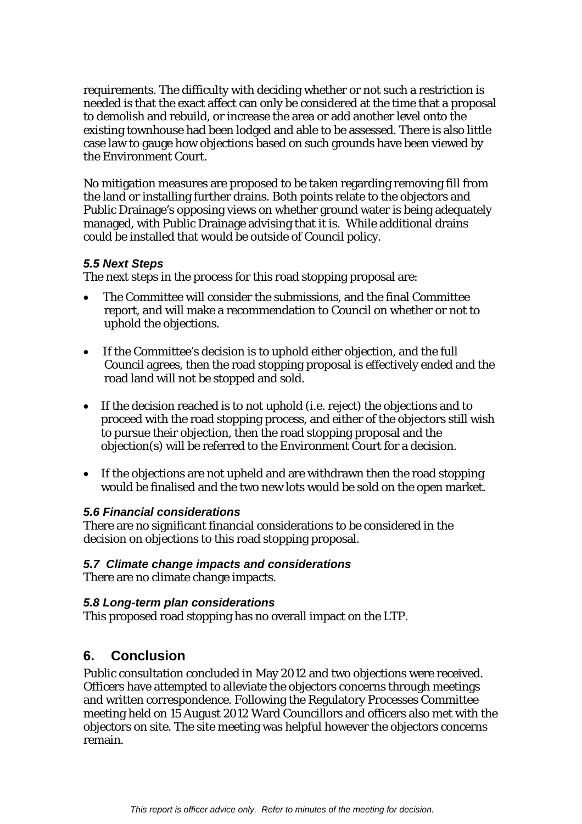requirements. The difficulty with deciding whether or not such a restriction is needed is that the exact affect can only be considered at the time that a proposal to demolish and rebuild, or increase the area or add another level onto the existing townhouse had been lodged and able to be assessed. There is also little case law to gauge how objections based on such grounds have been viewed by the Environment Court.

No mitigation measures are proposed to be taken regarding removing fill from the land or installing further drains. Both points relate to the objectors and Public Drainage's opposing views on whether ground water is being adequately managed, with Public Drainage advising that it is. While additional drains could be installed that would be outside of Council policy.

## *5.5 Next Steps*

The next steps in the process for this road stopping proposal are:

- The Committee will consider the submissions, and the final Committee report, and will make a recommendation to Council on whether or not to uphold the objections.
- If the Committee's decision is to uphold either objection, and the full Council agrees, then the road stopping proposal is effectively ended and the road land will not be stopped and sold.
- If the decision reached is to not uphold (i.e. reject) the objections and to proceed with the road stopping process, and either of the objectors still wish to pursue their objection, then the road stopping proposal and the objection(s) will be referred to the Environment Court for a decision.
- If the objections are not upheld and are withdrawn then the road stopping would be finalised and the two new lots would be sold on the open market.

# *5.6 Financial considerations*

There are no significant financial considerations to be considered in the decision on objections to this road stopping proposal.

## *5.7 Climate change impacts and considerations*

There are no climate change impacts.

## *5.8 Long-term plan considerations*

This proposed road stopping has no overall impact on the LTP.

# **6. Conclusion**

Public consultation concluded in May 2012 and two objections were received. Officers have attempted to alleviate the objectors concerns through meetings and written correspondence. Following the Regulatory Processes Committee meeting held on 15 August 2012 Ward Councillors and officers also met with the objectors on site. The site meeting was helpful however the objectors concerns remain.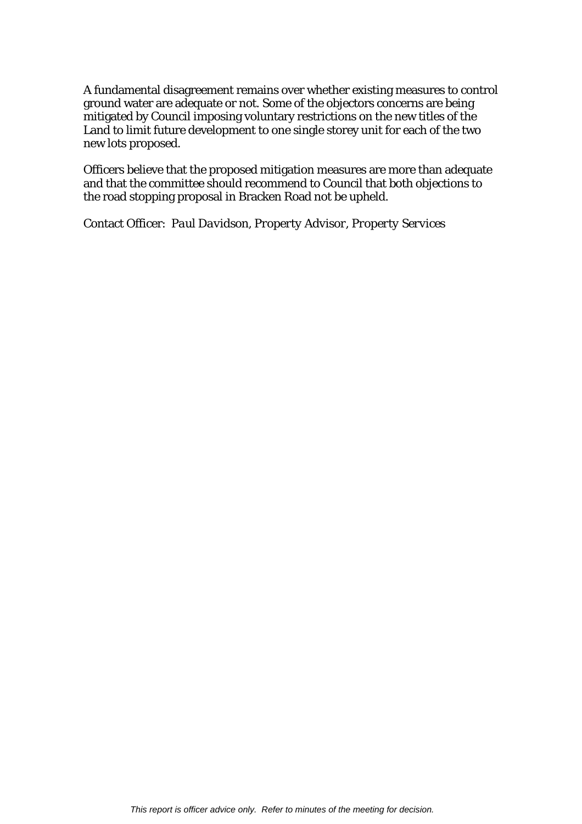A fundamental disagreement remains over whether existing measures to control ground water are adequate or not. Some of the objectors concerns are being mitigated by Council imposing voluntary restrictions on the new titles of the Land to limit future development to one single storey unit for each of the two new lots proposed.

Officers believe that the proposed mitigation measures are more than adequate and that the committee should recommend to Council that both objections to the road stopping proposal in Bracken Road not be upheld.

Contact Officer: *Paul Davidson, Property Advisor, Property Services*